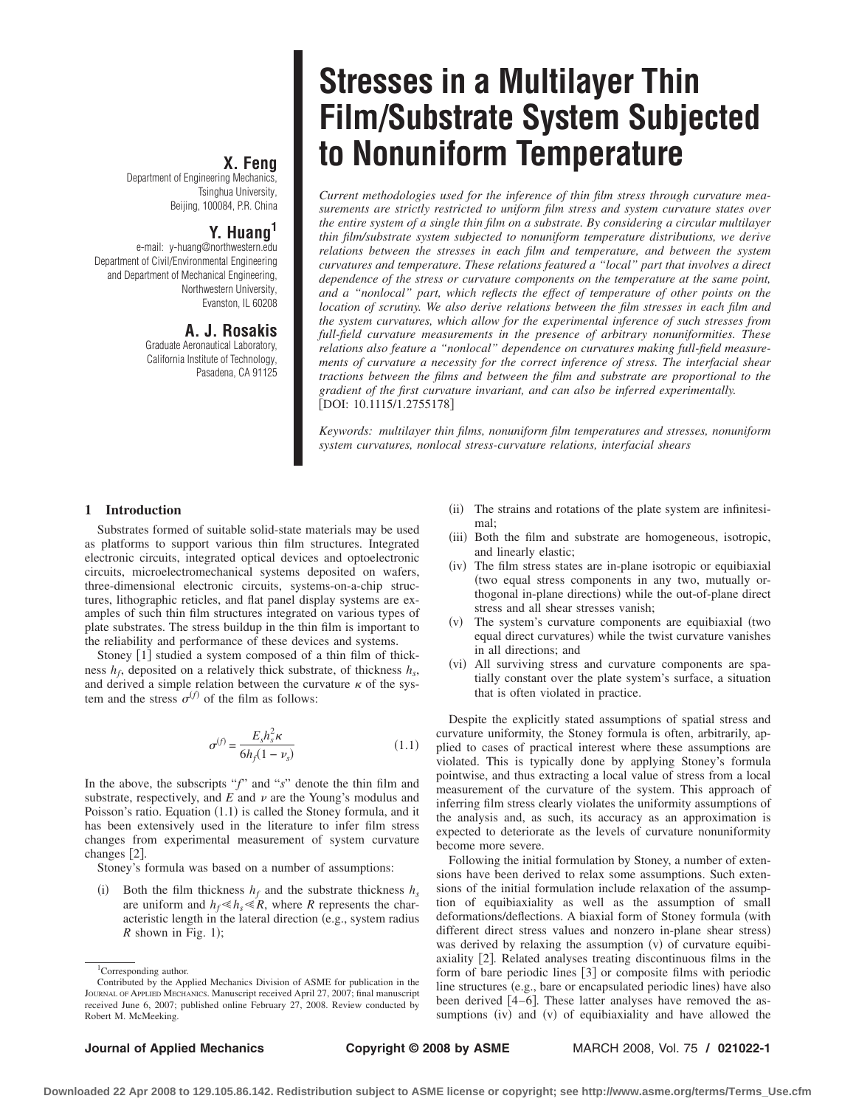# **X. Feng**

Department of Engineering Mechanics, Tsinghua University, Beijing, 100084, P.R. China

# **Y. Huang<sup>1</sup>**

e-mail: y-huang@northwestern.edu Department of Civil/Environmental Engineering and Department of Mechanical Engineering, Northwestern University, Evanston, IL 60208

## **A. J. Rosakis**

Graduate Aeronautical Laboratory, California Institute of Technology, Pasadena, CA 91125

# **Stresses in a Multilayer Thin Film/Substrate System Subjected to Nonuniform Temperature**

*Current methodologies used for the inference of thin film stress through curvature measurements are strictly restricted to uniform film stress and system curvature states over the entire system of a single thin film on a substrate. By considering a circular multilayer thin film/substrate system subjected to nonuniform temperature distributions, we derive relations between the stresses in each film and temperature, and between the system curvatures and temperature. These relations featured a "local" part that involves a direct dependence of the stress or curvature components on the temperature at the same point, and a "nonlocal" part, which reflects the effect of temperature of other points on the location of scrutiny. We also derive relations between the film stresses in each film and the system curvatures, which allow for the experimental inference of such stresses from full-field curvature measurements in the presence of arbitrary nonuniformities. These relations also feature a "nonlocal" dependence on curvatures making full-field measurements of curvature a necessity for the correct inference of stress. The interfacial shear tractions between the films and between the film and substrate are proportional to the gradient of the first curvature invariant, and can also be inferred experimentally.* [DOI: 10.1115/1.2755178]

*Keywords: multilayer thin films, nonuniform film temperatures and stresses, nonuniform system curvatures, nonlocal stress-curvature relations, interfacial shears*

### **1 Introduction**

Substrates formed of suitable solid-state materials may be used as platforms to support various thin film structures. Integrated electronic circuits, integrated optical devices and optoelectronic circuits, microelectromechanical systems deposited on wafers, three-dimensional electronic circuits, systems-on-a-chip structures, lithographic reticles, and flat panel display systems are examples of such thin film structures integrated on various types of plate substrates. The stress buildup in the thin film is important to the reliability and performance of these devices and systems.

Stoney [1] studied a system composed of a thin film of thickness  $h_f$ , deposited on a relatively thick substrate, of thickness  $h_s$ , and derived a simple relation between the curvature  $\kappa$  of the system and the stress  $\sigma^{(f)}$  of the film as follows:

$$
\sigma^{(f)} = \frac{E_s h_s^2 \kappa}{6h_f(1 - \nu_s)}\tag{1.1}
$$

In the above, the subscripts "*f*" and "*s*" denote the thin film and substrate, respectively, and  $E$  and  $\nu$  are the Young's modulus and Poisson's ratio. Equation  $(1.1)$  is called the Stoney formula, and it has been extensively used in the literature to infer film stress changes from experimental measurement of system curvature changes [2].

Stoney's formula was based on a number of assumptions:

(i) Both the film thickness  $h_f$  and the substrate thickness  $h_s$ are uniform and  $h_f \ll h_s \ll R$ , where *R* represents the characteristic length in the lateral direction (e.g., system radius *R* shown in Fig. 1);

- (ii) The strains and rotations of the plate system are infinitesimal;
- (iii) Both the film and substrate are homogeneous, isotropic, and linearly elastic;
- (iv) The film stress states are in-plane isotropic or equibiaxial two equal stress components in any two, mutually orthogonal in-plane directions) while the out-of-plane direct stress and all shear stresses vanish;
- $(v)$  The system's curvature components are equibiaxial (two equal direct curvatures) while the twist curvature vanishes in all directions; and
- (vi) All surviving stress and curvature components are spatially constant over the plate system's surface, a situation that is often violated in practice.

Despite the explicitly stated assumptions of spatial stress and curvature uniformity, the Stoney formula is often, arbitrarily, applied to cases of practical interest where these assumptions are violated. This is typically done by applying Stoney's formula pointwise, and thus extracting a local value of stress from a local measurement of the curvature of the system. This approach of inferring film stress clearly violates the uniformity assumptions of the analysis and, as such, its accuracy as an approximation is expected to deteriorate as the levels of curvature nonuniformity become more severe.

Following the initial formulation by Stoney, a number of extensions have been derived to relax some assumptions. Such extensions of the initial formulation include relaxation of the assumption of equibiaxiality as well as the assumption of small deformations/deflections. A biaxial form of Stoney formula (with different direct stress values and nonzero in-plane shear stress was derived by relaxing the assumption  $(v)$  of curvature equibiaxiality [2]. Related analyses treating discontinuous films in the form of bare periodic lines [3] or composite films with periodic line structures (e.g., bare or encapsulated periodic lines) have also been derived [4-6]. These latter analyses have removed the assumptions  $(iv)$  and  $(v)$  of equibiaxiality and have allowed the

<sup>&</sup>lt;sup>1</sup>Corresponding author. Contributed by the Applied Mechanics Division of ASME for publication in the JOURNAL OF APPLIED MECHANICS. Manuscript received April 27, 2007; final manuscript received June 6, 2007; published online February 27, 2008. Review conducted by Robert M. McMeeking.

**Downloaded 22 Apr 2008 to 129.105.86.142. Redistribution subject to ASME license or copyright; see http://www.asme.org/terms/Terms\_Use.cfm**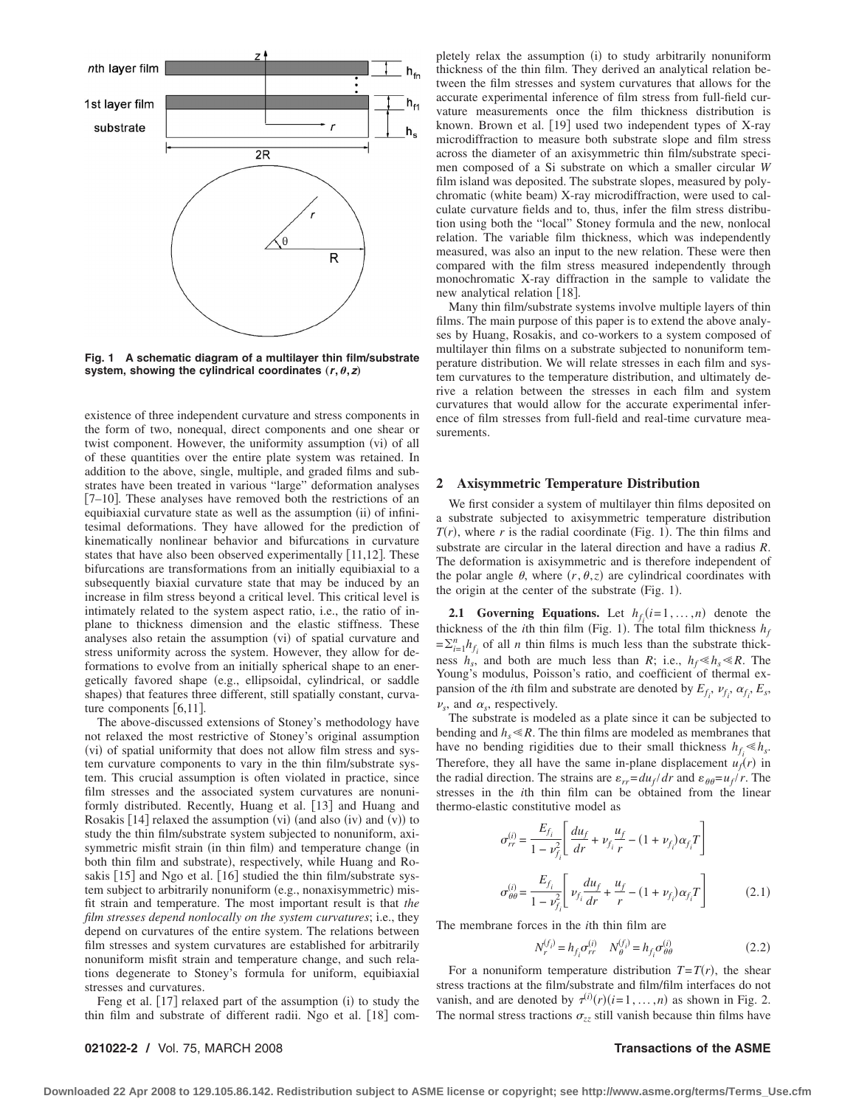

**Fig. 1 A schematic diagram of a multilayer thin film/substrate** system, showing the cylindrical coordinates  $(r, \theta, z)$ 

existence of three independent curvature and stress components in the form of two, nonequal, direct components and one shear or twist component. However, the uniformity assumption (vi) of all of these quantities over the entire plate system was retained. In addition to the above, single, multiple, and graded films and substrates have been treated in various "large" deformation analyses [7-10]. These analyses have removed both the restrictions of an equibiaxial curvature state as well as the assumption (ii) of infinitesimal deformations. They have allowed for the prediction of kinematically nonlinear behavior and bifurcations in curvature states that have also been observed experimentally [11,12]. These bifurcations are transformations from an initially equibiaxial to a subsequently biaxial curvature state that may be induced by an increase in film stress beyond a critical level. This critical level is intimately related to the system aspect ratio, i.e., the ratio of inplane to thickness dimension and the elastic stiffness. These analyses also retain the assumption (vi) of spatial curvature and stress uniformity across the system. However, they allow for deformations to evolve from an initially spherical shape to an energetically favored shape (e.g., ellipsoidal, cylindrical, or saddle shapes) that features three different, still spatially constant, curvature components  $[6, 11]$ .

The above-discussed extensions of Stoney's methodology have not relaxed the most restrictive of Stoney's original assumption (vi) of spatial uniformity that does not allow film stress and system curvature components to vary in the thin film/substrate system. This crucial assumption is often violated in practice, since film stresses and the associated system curvatures are nonuniformly distributed. Recently, Huang et al. [13] and Huang and Rosakis  $[14]$  relaxed the assumption (vi) (and also (iv) and (v)) to study the thin film/substrate system subjected to nonuniform, axisymmetric misfit strain (in thin film) and temperature change (in both thin film and substrate), respectively, while Huang and Rosakis [15] and Ngo et al. [16] studied the thin film/substrate system subject to arbitrarily nonuniform (e.g., nonaxisymmetric) misfit strain and temperature. The most important result is that *the film stresses depend nonlocally on the system curvatures*; i.e., they depend on curvatures of the entire system. The relations between film stresses and system curvatures are established for arbitrarily nonuniform misfit strain and temperature change, and such relations degenerate to Stoney's formula for uniform, equibiaxial stresses and curvatures.

Feng et al. [17] relaxed part of the assumption (i) to study the thin film and substrate of different radii. Ngo et al. [18] com-

**021022-2 /** Vol. 75, MARCH 2008 **Transactions of the ASME**

pletely relax the assumption (i) to study arbitrarily nonuniform thickness of the thin film. They derived an analytical relation between the film stresses and system curvatures that allows for the accurate experimental inference of film stress from full-field curvature measurements once the film thickness distribution is known. Brown et al. [19] used two independent types of X-ray microdiffraction to measure both substrate slope and film stress across the diameter of an axisymmetric thin film/substrate specimen composed of a Si substrate on which a smaller circular *W* film island was deposited. The substrate slopes, measured by polychromatic (white beam) X-ray microdiffraction, were used to calculate curvature fields and to, thus, infer the film stress distribution using both the "local" Stoney formula and the new, nonlocal relation. The variable film thickness, which was independently measured, was also an input to the new relation. These were then compared with the film stress measured independently through monochromatic X-ray diffraction in the sample to validate the new analytical relation [18].

Many thin film/substrate systems involve multiple layers of thin films. The main purpose of this paper is to extend the above analyses by Huang, Rosakis, and co-workers to a system composed of multilayer thin films on a substrate subjected to nonuniform temperature distribution. We will relate stresses in each film and system curvatures to the temperature distribution, and ultimately derive a relation between the stresses in each film and system curvatures that would allow for the accurate experimental inference of film stresses from full-field and real-time curvature measurements.

### **2 Axisymmetric Temperature Distribution**

We first consider a system of multilayer thin films deposited on a substrate subjected to axisymmetric temperature distribution  $T(r)$ , where *r* is the radial coordinate (Fig. 1). The thin films and substrate are circular in the lateral direction and have a radius *R*. The deformation is axisymmetric and is therefore independent of the polar angle  $\theta$ , where  $(r, \theta, z)$  are cylindrical coordinates with the origin at the center of the substrate  $(Fig. 1)$ .

**2.1 Governing Equations.** Let  $h_{f_i}(i=1,\ldots,n)$  denote the thickness of the *i*th thin film (Fig. 1). The total film thickness  $h_f$  $=\sum_{i=1}^{n} h_{f_i}$  of all *n* thin films is much less than the substrate thickness  $h_s$ , and both are much less than *R*; i.e.,  $h_f \le h_s \le R$ . The Young's modulus, Poisson's ratio, and coefficient of thermal expansion of the *i*th film and substrate are denoted by  $E_{f_i}$ ,  $v_{f_i}$ ,  $\alpha_{f_i}$ ,  $E_s$ ,  $\nu_s$ , and  $\alpha_s$ , respectively.

The substrate is modeled as a plate since it can be subjected to bending and  $h_s \ll R$ . The thin films are modeled as membranes that have no bending rigidities due to their small thickness  $h_{f_i} \leq h_s$ . Therefore, they all have the same in-plane displacement  $u_f(r)$  in the radial direction. The strains are  $\varepsilon_{rr} = du_f/dr$  and  $\varepsilon_{\theta\theta} = u_f/r$ . The stresses in the *i*th thin film can be obtained from the linear thermo-elastic constitutive model as

$$
\sigma_{rr}^{(i)} = \frac{E_{f_i}}{1 - \nu_{f_i}^2} \left[ \frac{du_f}{dr} + \nu_{f_i} \frac{u_f}{r} - (1 + \nu_{f_i}) \alpha_{f_i} T \right]
$$
  

$$
\sigma_{\theta\theta}^{(i)} = \frac{E_{f_i}}{1 - \nu_{f_i}^2} \left[ \nu_{f_i} \frac{du_f}{dr} + \frac{u_f}{r} - (1 + \nu_{f_i}) \alpha_{f_i} T \right]
$$
(2.1)

The membrane forces in the *i*th thin film are

$$
N_r^{(f_i)} = h_{f_i} \sigma_{rr}^{(i)} \t N_\theta^{(f_i)} = h_{f_i} \sigma_{\theta\theta}^{(i)}
$$
 (2.2)

For a nonuniform temperature distribution  $T = T(r)$ , the shear stress tractions at the film/substrate and film/film interfaces do not vanish, and are denoted by  $\tau^{(i)}(r)$  (*i*=1,...,*n*) as shown in Fig. 2. The normal stress tractions  $\sigma_{zz}$  still vanish because thin films have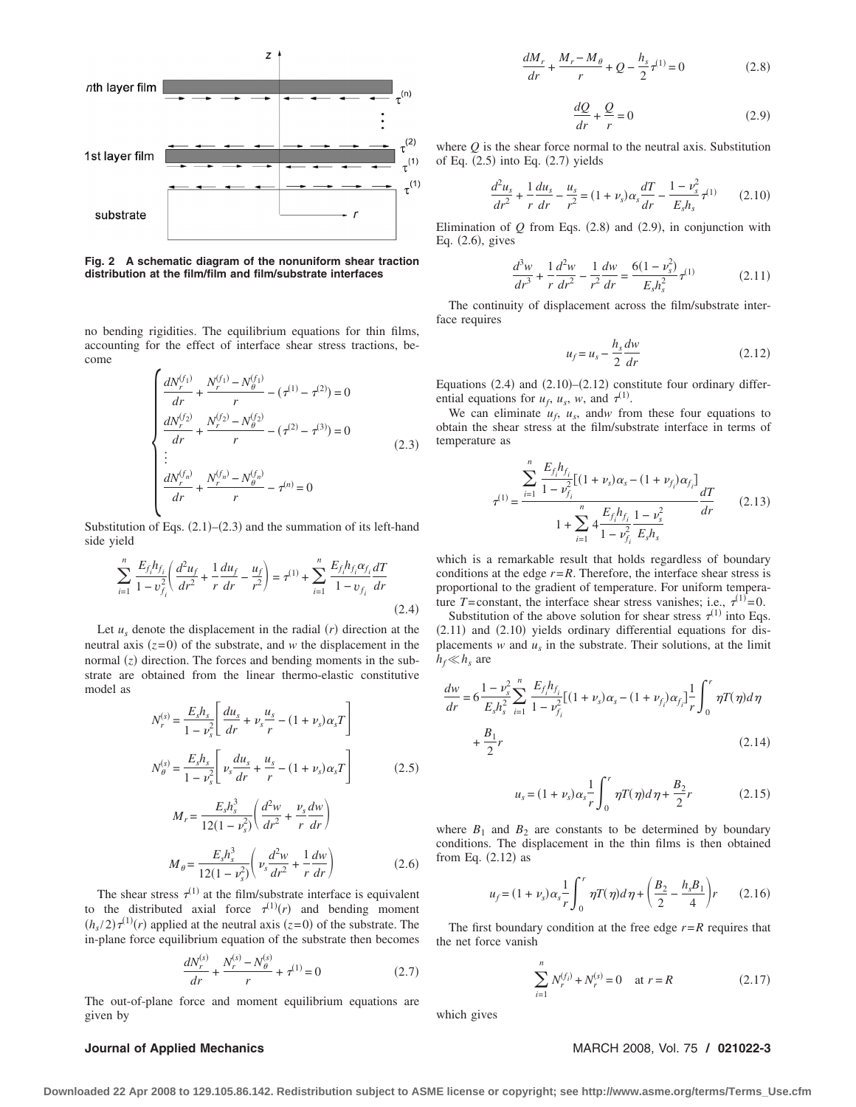

**Fig. 2 A schematic diagram of the nonuniform shear traction distribution at the film/film and film/substrate interfaces**

no bending rigidities. The equilibrium equations for thin films, accounting for the effect of interface shear stress tractions, become

$$
\begin{cases}\n\frac{dN_r^{(f_1)}}{dr} + \frac{N_r^{(f_1)} - N_\theta^{(f_1)}}{r} - (\tau^{(1)} - \tau^{(2)}) = 0 \\
\frac{dN_r^{(f_2)}}{dr} + \frac{N_r^{(f_2)} - N_\theta^{(f_2)}}{r} - (\tau^{(2)} - \tau^{(3)}) = 0 \\
\vdots \\
\frac{dN_r^{(f_n)}}{dr} + \frac{N_r^{(f_n)} - N_\theta^{(f_n)}}{r} - \tau^{(n)} = 0\n\end{cases} \tag{2.3}
$$

Substitution of Eqs.  $(2.1)$ – $(2.3)$  and the summation of its left-hand side yield

$$
\sum_{i=1}^{n} \frac{E_f h_{f_i}}{1 - v_{f_i}^2} \left( \frac{d^2 u_f}{dr^2} + \frac{1}{r} \frac{du_f}{dr} - \frac{u_f}{r^2} \right) = \tau^{(1)} + \sum_{i=1}^{n} \frac{E_f h_{f_i} \alpha_{f_i}}{1 - v_{f_i}} \frac{dT}{dr}
$$
\n(2.4)

Let  $u_s$  denote the displacement in the radial  $(r)$  direction at the neutral axis  $(z=0)$  of the substrate, and *w* the displacement in the normal  $(z)$  direction. The forces and bending moments in the substrate are obtained from the linear thermo-elastic constitutive model as

$$
N_r^{(s)} = \frac{E_s h_s}{1 - \nu_s^2} \left[ \frac{d u_s}{dr} + \nu_s \frac{u_s}{r} - (1 + \nu_s) \alpha_s T \right]
$$
  

$$
N_\theta^{(s)} = \frac{E_s h_s}{1 - \nu_s^2} \left[ \nu_s \frac{d u_s}{dr} + \frac{u_s}{r} - (1 + \nu_s) \alpha_s T \right]
$$
(2.5)

$$
M_r = \frac{E_s h_s^3}{12(1 - v_s^2)} \left( \frac{d^2 w}{dr^2} + \frac{v_s}{r} \frac{dw}{dr} \right)
$$
  

$$
M_\theta = \frac{E_s h_s^3}{12(1 - v_s^2)} \left( v_s \frac{d^2 w}{dr^2} + \frac{1}{r} \frac{dw}{dr} \right)
$$
(2.6)

The shear stress  $\tau^{(1)}$  at the film/substrate interface is equivalent to the distributed axial force  $\tau^{(1)}(r)$  and bending moment  $(h<sub>s</sub>/2) \tau<sup>(1)</sup>(r)$  applied at the neutral axis  $(z=0)$  of the substrate. The in-plane force equilibrium equation of the substrate then becomes

$$
\frac{dN_r^{(s)}}{dr} + \frac{N_r^{(s)} - N_\theta^{(s)}}{r} + \tau^{(1)} = 0\tag{2.7}
$$

The out-of-plane force and moment equilibrium equations are given by

$$
\frac{dM_r}{dr} + \frac{M_r - M_\theta}{r} + Q - \frac{h_s}{2}\tau^{(1)} = 0
$$
\n(2.8)

$$
\frac{dQ}{dr} + \frac{Q}{r} = 0\tag{2.9}
$$

where *Q* is the shear force normal to the neutral axis. Substitution of Eq.  $(2.5)$  into Eq.  $(2.7)$  yields

$$
\frac{d^2u_s}{dr^2} + \frac{1}{r}\frac{du_s}{dr} - \frac{u_s}{r^2} = (1 + \nu_s)\alpha_s \frac{dT}{dr} - \frac{1 - \nu_s^2}{E_s h_s} \tau^{(1)} \tag{2.10}
$$

Elimination of  $Q$  from Eqs.  $(2.8)$  and  $(2.9)$ , in conjunction with Eq.  $(2.6)$ , gives

$$
\frac{d^3w}{dr^3} + \frac{1}{r}\frac{d^2w}{dr^2} - \frac{1}{r^2}\frac{dw}{dr} = \frac{6(1 - v_s^2)}{E_s h_s^2} \tau^{(1)}\tag{2.11}
$$

The continuity of displacement across the film/substrate interface requires

$$
u_f = u_s - \frac{h_s}{2} \frac{dw}{dr}
$$
 (2.12)

Equations  $(2.4)$  and  $(2.10)$ – $(2.12)$  constitute four ordinary differential equations for  $u_f$ ,  $u_s$ ,  $w$ , and  $\tau^{(1)}$ .

We can eliminate  $u_f$ ,  $u_s$ , andw from these four equations to obtain the shear stress at the film/substrate interface in terms of temperature as

$$
\tau^{(1)} = \frac{\sum_{i=1}^{n} \frac{E_{f_i} h_{f_i}}{1 - \nu_{f_i}^2} [(1 + \nu_s) \alpha_s - (1 + \nu_{f_i}) \alpha_{f_i}]}{1 + \sum_{i=1}^{n} 4 \frac{E_{f_i} h_{f_i}}{1 - \nu_{f_i}^2} \frac{1 - \nu_s^2}{E_s h_s}}
$$
(2.13)

which is a remarkable result that holds regardless of boundary conditions at the edge  $r = R$ . Therefore, the interface shear stress is proportional to the gradient of temperature. For uniform temperature *T*=constant, the interface shear stress vanishes; i.e.,  $\tau^{(1)} = 0$ .

Substitution of the above solution for shear stress  $\tau^{(1)}$  into Eqs.  $(2.11)$  and  $(2.10)$  yields ordinary differential equations for displacements *w* and  $u_s$  in the substrate. Their solutions, at the limit  $h_f \ll h_s$  are

$$
\frac{dw}{dr} = 6 \frac{1 - \nu_s^2}{E_s h_s^2} \sum_{i=1}^n \frac{E_{f_i} h_{f_i}}{1 - \nu_{f_i}^2} [(1 + \nu_s)\alpha_s - (1 + \nu_{f_i})\alpha_{f_i}] \frac{1}{r} \int_0^r \eta T(\eta) d\eta
$$
  
+ 
$$
\frac{B_1}{2} r
$$
 (2.14)

$$
u_s = (1 + \nu_s) \alpha_s \frac{1}{r} \int_0^r \eta T(\eta) d\eta + \frac{B_2}{2} r \tag{2.15}
$$

where  $B_1$  and  $B_2$  are constants to be determined by boundary conditions. The displacement in the thin films is then obtained from Eq.  $(2.12)$  as

$$
u_f = (1 + \nu_s) \alpha_s \frac{1}{r} \int_0^r \eta T(\eta) d\eta + \left(\frac{B_2}{2} - \frac{h_s B_1}{4}\right) r \qquad (2.16)
$$

The first boundary condition at the free edge  $r = R$  requires that the net force vanish

$$
\sum_{i=1}^{n} N_r^{(f_i)} + N_r^{(s)} = 0 \quad \text{at } r = R
$$
 (2.17)

which gives

**Journal of Applied Mechanics** MARCH 2008, Vol. 75 **/ 021022-3**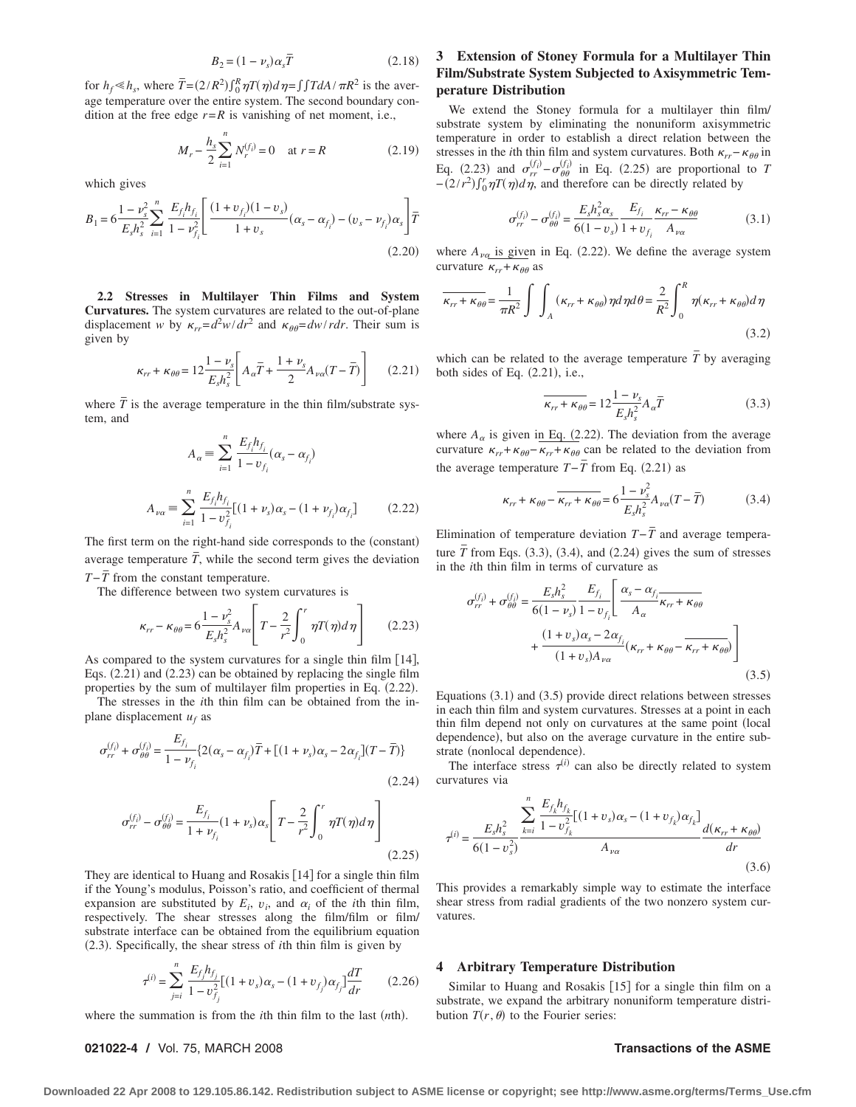$$
B_2 = (1 - \nu_s)\alpha_s \overline{T}
$$
 (2.18)

for  $h_f \ll h_s$ , where  $\overline{T} = (2/R^2) \int_0^R \eta T(\eta) d\eta = \int \int T dA / \pi R^2$  is the average temperature over the entire system. The second boundary condition at the free edge  $r = R$  is vanishing of net moment, i.e.,

$$
M_r - \frac{h_s}{2} \sum_{i=1}^n N_r^{(f_i)} = 0 \quad \text{at } r = R \tag{2.19}
$$

which gives

$$
B_1 = 6 \frac{1 - v_s^2}{E_s h_s^2} \sum_{i=1}^n \frac{E_{f_i} h_{f_i}}{1 - v_{f_i}^2} \left[ \frac{(1 + v_{f_i})(1 - v_s)}{1 + v_s} (\alpha_s - \alpha_{f_i}) - (v_s - v_{f_i}) \alpha_s \right] \overline{T}
$$
\n(2.20)

**2.2 Stresses in Multilayer Thin Films and System Curvatures.** The system curvatures are related to the out-of-plane displacement *w* by  $\kappa_{rr} = d^2w/dr^2$  and  $\kappa_{\theta\theta} = dw/rdr$ . Their sum is given by

$$
\kappa_{rr} + \kappa_{\theta\theta} = 12 \frac{1 - \nu_s}{E_s h_s^2} \left[ A_\alpha \overline{T} + \frac{1 + \nu_s}{2} A_{\nu\alpha} (T - \overline{T}) \right]
$$
 (2.21)

where  $\overline{T}$  is the average temperature in the thin film/substrate system, and

$$
A_{\alpha} = \sum_{i=1}^{n} \frac{E_{f_i} h_{f_i}}{1 - v_{f_i}} (\alpha_s - \alpha_{f_i})
$$
  

$$
A_{\nu\alpha} = \sum_{i=1}^{n} \frac{E_{f_i} h_{f_i}}{1 - v_{f_i}^2} [(1 + \nu_s)\alpha_s - (1 + \nu_{f_i})\alpha_{f_i}]
$$
(2.22)

The first term on the right-hand side corresponds to the (constant) average temperature  $\overline{T}$ , while the second term gives the deviation  $T-\overline{T}$  from the constant temperature.

The difference between two system curvatures is

$$
\kappa_{rr} - \kappa_{\theta\theta} = 6 \frac{1 - \nu_s^2}{E_s h_s^2} A_{\nu\alpha} \left[ T - \frac{2}{r^2} \int_0^r \eta T(\eta) d\eta \right]
$$
 (2.23)

As compared to the system curvatures for a single thin film [14], Eqs.  $(2.21)$  and  $(2.23)$  can be obtained by replacing the single film properties by the sum of multilayer film properties in Eq.  $(2.22)$ .

The stresses in the *i*th thin film can be obtained from the inplane displacement  $u_f$  as

$$
\sigma_{rr}^{(f_i)} + \sigma_{\theta\theta}^{(f_i)} = \frac{E_{f_i}}{1 - \nu_{f_i}} \{ 2(\alpha_s - \alpha_{f_i}) \bar{T} + [(1 + \nu_s)\alpha_s - 2\alpha_{f_i}](T - \bar{T}) \}
$$
\n(2.24)

$$
\sigma_{rr}^{(f_i)} - \sigma_{\theta\theta}^{(f_i)} = \frac{E_{f_i}}{1 + \nu_{f_i}} (1 + \nu_s) \alpha_s \left[ T - \frac{2}{r^2} \int_0^r \eta T(\eta) d\eta \right]
$$
\n(2.25)

They are identical to Huang and Rosakis [14] for a single thin film if the Young's modulus, Poisson's ratio, and coefficient of thermal expansion are substituted by  $E_i$ ,  $v_i$ , and  $\alpha_i$  of the *i*th thin film, respectively. The shear stresses along the film/film or film/ substrate interface can be obtained from the equilibrium equation 2.3. Specifically, the shear stress of *i*th thin film is given by

$$
\tau^{(i)} = \sum_{j=i}^{n} \frac{E_{f_j} h_{f_j}}{1 - v_{f_j}^2} [(1 + v_s) \alpha_s - (1 + v_{f_j}) \alpha_{f_j}] \frac{dT}{dr}
$$
(2.26)

where the summation is from the *i*th thin film to the last *(nth)*.

#### **021022-4 /** Vol. 75, MARCH 2008 **Transactions of the ASME**

### **3 Extension of Stoney Formula for a Multilayer Thin Film/Substrate System Subjected to Axisymmetric Temperature Distribution**

We extend the Stoney formula for a multilayer thin film/ substrate system by eliminating the nonuniform axisymmetric temperature in order to establish a direct relation between the stresses in the *i*th thin film and system curvatures. Both  $\kappa_{rr} - \kappa_{\theta\theta}$  in Eq. (2.23) and  $\sigma_{rr}^{(f_i)} - \sigma_{\theta\theta}^{(f_i)}$  in Eq. (2.25) are proportional to *T*  $-(2/r^2)\int_0^r \eta T(\eta) d\eta$ , and therefore can be directly related by

$$
\sigma_{rr}^{(f_i)} - \sigma_{\theta\theta}^{(f_i)} = \frac{E_s h_s^2 \alpha_s}{6(1 - v_s)} \frac{E_{f_i}}{1 + v_{f_i}} \frac{\kappa_{rr} - \kappa_{\theta\theta}}{A_{\nu\alpha}}
$$
(3.1)

where  $A_{\nu\alpha}$  is given in Eq. (2.22). We define the average system curvature  $\kappa_{rr} + \kappa_{\theta\theta}$  as

$$
\overline{\kappa_{rr} + \kappa_{\theta\theta}} = \frac{1}{\pi R^2} \int \int_{A} (\kappa_{rr} + \kappa_{\theta\theta}) \eta d\eta d\theta = \frac{2}{R^2} \int_{0}^{R} \eta(\kappa_{rr} + \kappa_{\theta\theta}) d\eta
$$
\n(3.2)

which can be related to the average temperature  $\bar{T}$  by averaging both sides of Eq.  $(2.21)$ , i.e.,

$$
\overline{\kappa_{rr} + \kappa_{\theta\theta}} = 12 \frac{1 - \nu_s}{E_s h_s^2} A_\alpha \overline{T}
$$
\n(3.3)

where  $A_{\alpha}$  is given in Eq. (2.22). The deviation from the average curvature  $\kappa_{rr} + \kappa_{\theta\theta} - \kappa_{rr} + \kappa_{\theta\theta}$  can be related to the deviation from the average temperature  $T-\overline{T}$  from Eq. (2.21) as

$$
\kappa_{rr} + \kappa_{\theta\theta} - \overline{\kappa_{rr} + \kappa_{\theta\theta}} = 6 \frac{1 - \nu_s^2}{E_s h_s^2} A_{\nu\alpha} (T - \overline{T}) \tag{3.4}
$$

Elimination of temperature deviation *T*−*T ¯* and average temperature  $\overline{T}$  from Eqs. (3.3), (3.4), and (2.24) gives the sum of stresses in the *i*th thin film in terms of curvature as

$$
\sigma_{rr}^{(f_i)} + \sigma_{\theta\theta}^{(f_i)} = \frac{E_s h_s^2}{6(1 - \nu_s)} \frac{E_{f_i}}{1 - \nu_{f_i}} \left[ \frac{\alpha_s - \alpha_{f_i}}{A_\alpha} \kappa_{rr} + \kappa_{\theta\theta} + \frac{(1 + \nu_s)\alpha_s - 2\alpha_{f_i}}{(1 + \nu_s)A_{\nu\alpha}} (\kappa_{rr} + \kappa_{\theta\theta} - \kappa_{rr} + \kappa_{\theta\theta}) \right]
$$
(3.5)

Equations  $(3.1)$  and  $(3.5)$  provide direct relations between stresses in each thin film and system curvatures. Stresses at a point in each thin film depend not only on curvatures at the same point (local dependence), but also on the average curvature in the entire substrate (nonlocal dependence).

The interface stress  $\tau^{(i)}$  can also be directly related to system curvatures via

$$
\tau^{(i)} = \frac{E_s h_s^2}{6(1 - v_s^2)} \frac{\sum_{k=i}^n \frac{E_{f_k} h_{f_k}}{1 - v_{f_k}^2} [(1 + v_s)\alpha_s - (1 + v_{f_k})\alpha_{f_k}]}{A_{\nu\alpha}} \frac{d(\kappa_{rr} + \kappa_{\theta\theta})}{dr}
$$
(3.6)

This provides a remarkably simple way to estimate the interface shear stress from radial gradients of the two nonzero system curvatures.

### **4 Arbitrary Temperature Distribution**

Similar to Huang and Rosakis [15] for a single thin film on a substrate, we expand the arbitrary nonuniform temperature distribution  $T(r, \theta)$  to the Fourier series: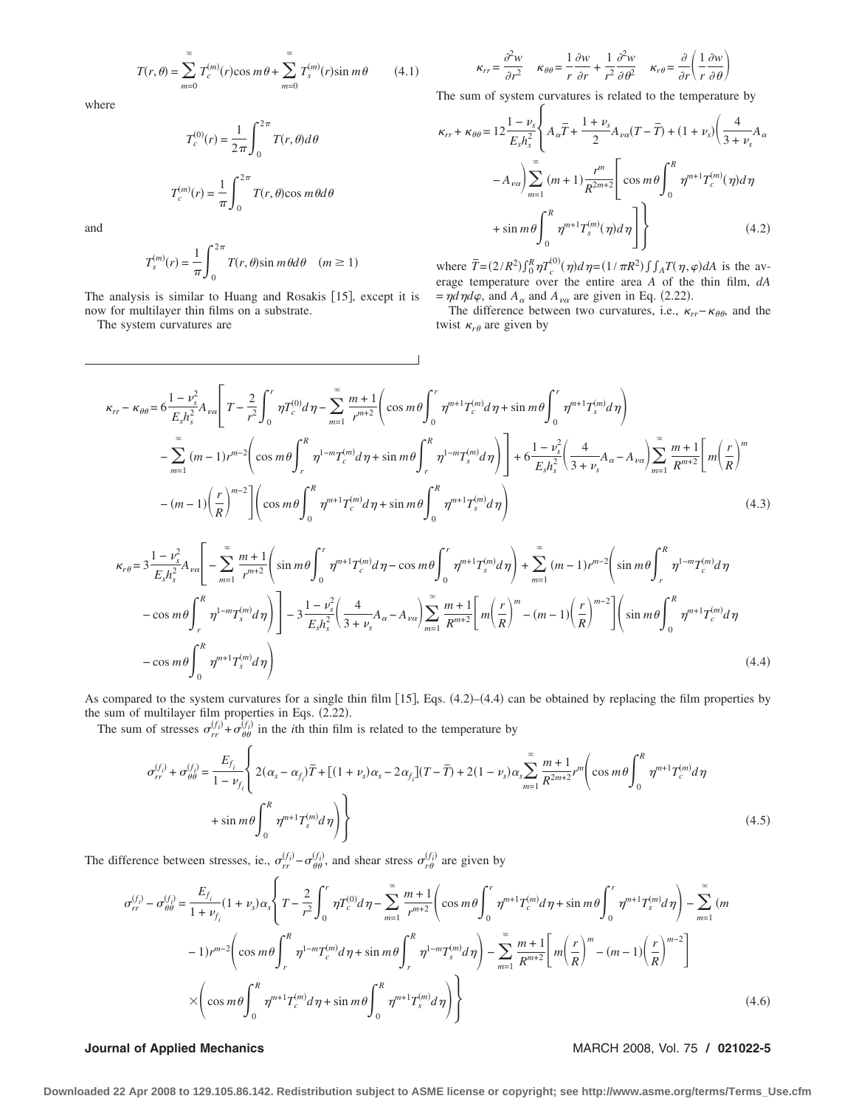$$
T(r,\theta) = \sum_{m=0}^{\infty} T_c^{(m)}(r) \cos m\theta + \sum_{m=0}^{\infty} T_s^{(m)}(r) \sin m\theta \qquad (4.1)
$$

where

$$
T_c^{(0)}(r) = \frac{1}{2\pi} \int_0^{2\pi} T(r, \theta) d\theta
$$

$$
T_c^{(m)}(r) = \frac{1}{\pi} \int_0^{2\pi} T(r, \theta) \cos m\theta d\theta
$$

and

$$
T_s^{(m)}(r) = \frac{1}{\pi} \int_0^{2\pi} T(r,\theta) \sin m\theta d\theta \quad (m \ge 1)
$$

The analysis is similar to Huang and Rosakis [15], except it is now for multilayer thin films on a substrate.

The system curvatures are

$$
\kappa_{rr} = \frac{\partial^2 w}{\partial r^2} \qquad \kappa_{\theta\theta} = \frac{1}{r} \frac{\partial w}{\partial r} + \frac{1}{r^2} \frac{\partial^2 w}{\partial \theta^2} \qquad \kappa_{r\theta} = \frac{\partial}{\partial r} \left( \frac{1}{r} \frac{\partial w}{\partial \theta} \right)
$$

The sum of system curvatures is related to the temperature by

$$
\kappa_{rr} + \kappa_{\theta\theta} = 12 \frac{1 - \nu_s}{E_s h_s^2} \left\{ A_\alpha \overline{T} + \frac{1 + \nu_s}{2} A_{\nu\alpha} (T - \overline{T}) + (1 + \nu_s) \left( \frac{4}{3 + \nu_s} A_\alpha \right) \right\}
$$

$$
- A_{\nu\alpha} \left\{ \sum_{m=1}^{\infty} (m+1) \frac{r^m}{R^{2m+2}} \right\} \cos m\theta \int_0^R \eta^{m+1} T_c^{(m)}(\eta) d\eta
$$

$$
+ \sin m\theta \int_0^R \eta^{m+1} T_s^{(m)}(\eta) d\eta \right\} \tag{4.2}
$$

where  $\bar{T} = (2/R^2) \int_0^R \eta T_c^{(0)}(\eta) d\eta = (1/\pi R^2) \int \int_A T(\eta, \varphi) dA$  is the average temperature over the entire area *A* of the thin film, *dA*  $= \eta d \eta d \varphi$ , and  $A_\alpha$  and  $A_{\nu \alpha}$  are given in Eq. (2.22).

The difference between two curvatures, i.e.,  $\kappa_{rr} - \kappa_{\theta\theta}$ , and the twist  $\kappa_{r\theta}$  are given by

$$
\kappa_{rr} - \kappa_{\theta\theta} = 6 \frac{1 - \nu_s^2}{E_s h_s^2} A_{\nu\alpha} \left[ T - \frac{2}{r^2} \int_0^r \eta T_c^{(0)} d\eta - \sum_{m=1}^{\infty} \frac{m+1}{r^{m+2}} \left( \cos m\theta \int_0^r \eta^{m+1} T_c^{(m)} d\eta + \sin m\theta \int_0^r \eta^{m+1} T_s^{(m)} d\eta \right) \right]
$$
  
\n
$$
- \sum_{m=1}^{\infty} (m-1)r^{m-2} \left( \cos m\theta \int_r^R \eta^{1-m} T_c^{(m)} d\eta + \sin m\theta \int_r^R \eta^{1-m} T_s^{(m)} d\eta \right) \left] + 6 \frac{1 - \nu_s^2}{E_s h_s^2} \left( \frac{4}{3 + \nu_s} A_{\alpha} - A_{\nu\alpha} \right) \sum_{m=1}^{\infty} \frac{m+1}{R^{m+2}} \left[ m \left( \frac{r}{R} \right)^m - (m-1) \left( \frac{r}{R} \right)^{m-2} \right] \left( \cos m\theta \int_0^R \eta^{m+1} T_c^{(m)} d\eta + \sin m\theta \int_0^R \eta^{m+1} T_s^{(m)} d\eta \right)
$$
  
\n
$$
\kappa_{r\theta} = 3 \frac{1 - \nu_s^2}{E_s h_s^2} A_{\nu\alpha} \left[ - \sum_{m=1}^{\infty} \frac{m+1}{r^{m+2}} \left( \sin m\theta \int_0^r \eta^{m+1} T_c^{(m)} d\eta - \cos m\theta \int_0^r \eta^{m+1} T_s^{(m)} d\eta \right) + \sum_{m=1}^{\infty} (m-1)r^{m-2} \left( \sin m\theta \int_r^R \eta^{1-m} T_c^{(m)} d\eta - \cos m\theta \int_0^r \eta^{m+1} T_s^{(m)} d\eta \right)
$$
  
\n(4.3)

$$
\kappa_{r\theta} = 3 \frac{1 - \nu_s^2}{E_s h_s^2} A_{\nu\alpha} \bigg[ -\sum_{m=1}^{\infty} \frac{m+1}{r^{m+2}} \bigg( \sin m\theta \bigg]_0^{\pi} \eta^{m+1} T_c^{(m)} d\eta - \cos m\theta \bigg]_0^{\pi} \eta^{m+1} T_s^{(m)} d\eta \bigg) + \sum_{m=1}^{\infty} (m-1) r^{m-2} \bigg( \sin m\theta \bigg]_r^{\pi} \eta^{1-m} T_c^{(m)} d\eta
$$
  

$$
- \cos m\theta \int_r^R \eta^{1-m} T_s^{(m)} d\eta \bigg] - 3 \frac{1 - \nu_s^2}{E_s h_s^2} \bigg( \frac{4}{3 + \nu_s} A_{\alpha} - A_{\nu\alpha} \bigg) \sum_{m=1}^{\infty} \frac{m+1}{R^{m+2}} \bigg[ m \bigg( \frac{r}{R} \bigg)^m - (m-1) \bigg( \frac{r}{R} \bigg)^{m-2} \bigg] \bigg( \sin m\theta \int_0^R \eta^{m+1} T_c^{(m)} d\eta
$$
  

$$
- \cos m\theta \int_0^R \eta^{m+1} T_s^{(m)} d\eta \bigg)
$$
(4.4)

As compared to the system curvatures for a single thin film  $[15]$ , Eqs.  $(4.2)$ – $(4.4)$  can be obtained by replacing the film properties by the sum of multilayer film properties in Eqs.  $(2.22)$ .

The sum of stresses  $\sigma_{rr}^{(f_i)} + \sigma_{\theta\theta}^{(f_i)}$  in the *i*th thin film is related to the temperature by

$$
\sigma_{rr}^{(f_i)} + \sigma_{\theta\theta}^{(f_i)} = \frac{E_{f_i}}{1 - \nu_{f_i}} \left\{ 2(\alpha_s - \alpha_{f_i}) \overline{T} + [(1 + \nu_s)\alpha_s - 2\alpha_{f_i}](T - \overline{T}) + 2(1 - \nu_s)\alpha_s \sum_{m=1}^{\infty} \frac{m+1}{R^{2m+2}} r^m \left( \cos m\theta \int_0^R \eta^{m+1} T_c^{(m)} d\eta \right) + \sin m\theta \int_0^R \eta^{m+1} T_s^{(m)} d\eta \right\}
$$
\n(4.5)

The difference between stresses, ie.,  $\sigma_{rr}^{(f_i)} - \sigma_{\theta\theta}^{(f_i)}$ , and shear stress  $\sigma_{r\theta}^{(f_i)}$  are given by

$$
\sigma_{rr}^{(f_i)} - \sigma_{\theta\theta}^{(f_i)} = \frac{E_{f_i}}{1 + \nu_{f_i}} (1 + \nu_s) \alpha_s \left\{ T - \frac{2}{r^2} \int_0^r \eta T_c^{(0)} d\eta - \sum_{m=1}^{\infty} \frac{m+1}{r^{m+2}} \left( \cos m\theta \int_0^r \eta^{m+1} T_c^{(m)} d\eta + \sin m\theta \int_0^r \eta^{m+1} T_s^{(m)} d\eta \right) - \sum_{m=1}^{\infty} (m-1)r^{m-2} \left( \cos m\theta \int_r^R \eta^{1-m} T_c^{(m)} d\eta + \sin m\theta \int_r^R \eta^{1-m} T_s^{(m)} d\eta \right) - \sum_{m=1}^{\infty} \frac{m+1}{R^{m+2}} \left[ m \left( \frac{r}{R} \right)^m - (m-1) \left( \frac{r}{R} \right)^{m-2} \right]
$$
  
 
$$
\times \left( \cos m\theta \int_0^R \eta^{m+1} T_c^{(m)} d\eta + \sin m\theta \int_0^R \eta^{m+1} T_s^{(m)} d\eta \right) \right\}
$$
(4.6)

#### **Journal of Applied Mechanics** MARCH 2008, Vol. 75 **/ 021022-5**

**Downloaded 22 Apr 2008 to 129.105.86.142. Redistribution subject to ASME license or copyright; see http://www.asme.org/terms/Terms\_Use.cfm**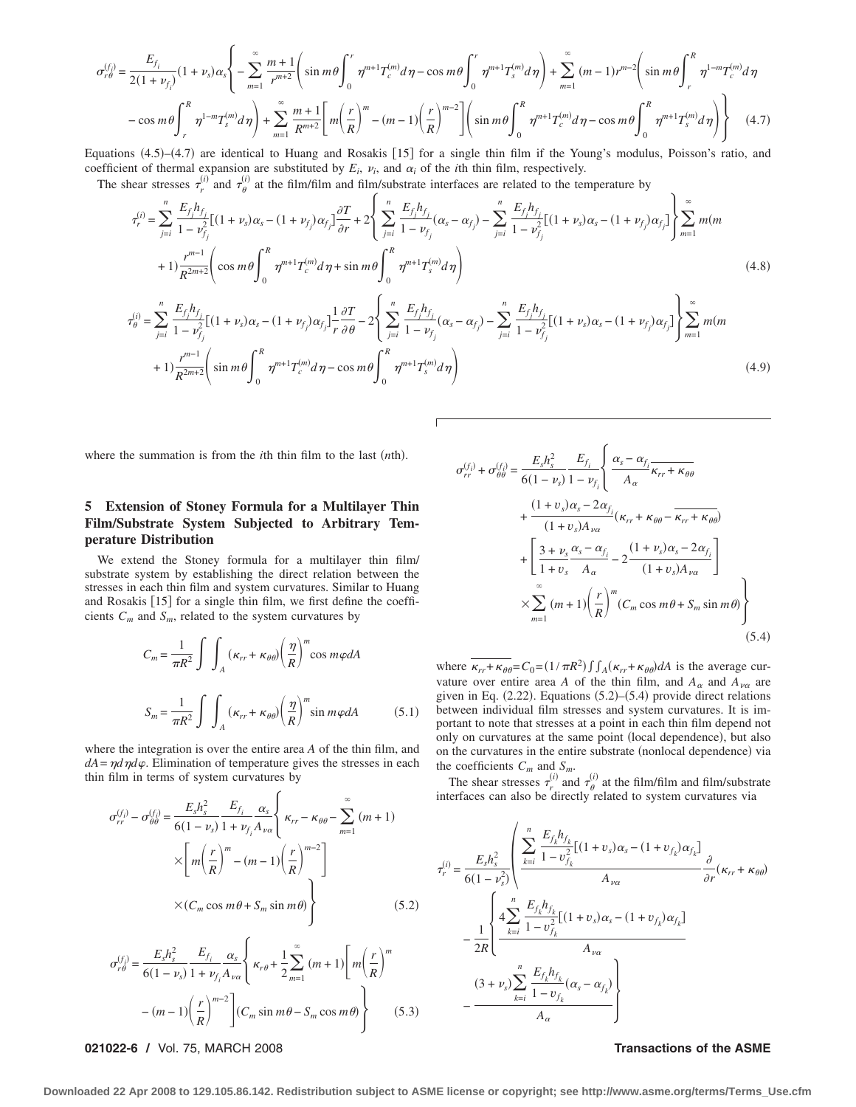$$
\sigma_{r\theta}^{(f)} = \frac{E_{f_i}}{2(1 + \nu_{f_i})}(1 + \nu_s)\alpha_s \left\{ -\sum_{m=1}^{\infty} \frac{m+1}{r^{m+2}} \left( \sin m\theta \int_0^r \eta^{m+1} T_c^{(m)} d\eta - \cos m\theta \int_0^r \eta^{m+1} T_s^{(m)} d\eta \right) + \sum_{m=1}^{\infty} (m-1)r^{m-2} \left( \sin m\theta \int_r^R \eta^{1-m} T_c^{(m)} d\eta \right) \right\}
$$

$$
- \cos m\theta \int_r^R \eta^{1-m} T_s^{(m)} d\eta \right\} + \sum_{m=1}^{\infty} \frac{m+1}{R^{m+2}} \left[ m \left( \frac{r}{R} \right)^m - (m-1) \left( \frac{r}{R} \right)^{m-2} \right] \left( \sin m\theta \int_0^R \eta^{m+1} T_c^{(m)} d\eta - \cos m\theta \int_0^R \eta^{m+1} T_s^{(m)} d\eta \right) \right\} \tag{4.7}
$$

Equations (4.5)–(4.7) are identical to Huang and Rosakis [15] for a single thin film if the Young's modulus, Poisson's ratio, and coefficient of thermal expansion are substituted by  $E_i$ ,  $\nu_i$ , and  $\alpha_i$  of the *i*th thin film, respectively.

The shear stresses  $\tau_r^{(i)}$  and  $\tau_\theta^{(i)}$  at the film/film and film/substrate interfaces are related to the temperature by

$$
\tau_r^{(i)} = \sum_{j=i}^n \frac{E_{f_j} h_{f_j}}{1 - \nu_{f_j}^2} \left[ (1 + \nu_s) \alpha_s - (1 + \nu_{f_j}) \alpha_{f_j} \right] \frac{\partial T}{\partial r} + 2 \left\{ \sum_{j=i}^n \frac{E_{f_j} h_{f_j}}{1 - \nu_{f_j}} (\alpha_s - \alpha_{f_j}) - \sum_{j=i}^n \frac{E_{f_j} h_{f_j}}{1 - \nu_{f_j}^2} \left[ (1 + \nu_s) \alpha_s - (1 + \nu_{f_j}) \alpha_{f_j} \right] \right\} \sum_{m=1}^\infty m(m+1) \frac{r^{m-1}}{R^{2m+2}} \left( \cos m\theta \int_0^R \eta^{m+1} T_c^{(m)} d\eta + \sin m\theta \int_0^R \eta^{m+1} T_s^{(m)} d\eta \right)
$$
\n(4.8)

$$
\tau_{\theta}^{(i)} = \sum_{j=i}^{n} \frac{E_{f_j} h_{f_j}}{1 - \nu_{f_j}^2} \left[ (1 + \nu_s) \alpha_s - (1 + \nu_{f_j}) \alpha_{f_j} \right] \frac{1}{r} \frac{\partial T}{\partial \theta} - 2 \left\{ \sum_{j=i}^{n} \frac{E_{f_j} h_{f_j}}{1 - \nu_{f_j}} (\alpha_s - \alpha_{f_j}) - \sum_{j=i}^{n} \frac{E_{f_j} h_{f_j}}{1 - \nu_{f_j}^2} \left[ (1 + \nu_s) \alpha_s - (1 + \nu_{f_j}) \alpha_{f_j} \right] \right\} \sum_{m=1}^{\infty} m(m+1) \frac{r^{m-1}}{R^{2m+2}} \left( \sin m\theta \int_0^R \eta^{m+1} T_s^{(m)} d\eta - \cos m\theta \int_0^R \eta^{m+1} T_s^{(m)} d\eta \right)
$$
\n(4.9)

where the summation is from the *i*th thin film to the last (*n*th).

### **5 Extension of Stoney Formula for a Multilayer Thin Film/Substrate System Subjected to Arbitrary Temperature Distribution**

We extend the Stoney formula for a multilayer thin film/ substrate system by establishing the direct relation between the stresses in each thin film and system curvatures. Similar to Huang and Rosakis [15] for a single thin film, we first define the coefficients  $C_m$  and  $S_m$ , related to the system curvatures by

$$
C_m = \frac{1}{\pi R^2} \int \int_A (\kappa_{rr} + \kappa_{\theta\theta}) \left(\frac{\eta}{R}\right)^m \cos m\varphi dA
$$

$$
S_m = \frac{1}{\pi R^2} \int \int_A (\kappa_{rr} + \kappa_{\theta\theta}) \left(\frac{\eta}{R}\right)^m \sin m\varphi dA \qquad (5.1)
$$

where the integration is over the entire area *A* of the thin film, and  $dA = \eta d \eta d\varphi$ . Elimination of temperature gives the stresses in each thin film in terms of system curvatures by

$$
\sigma_{rr}^{(f_i)} - \sigma_{\theta\theta}^{(f_i)} = \frac{E_s h_s^2}{6(1 - \nu_s)} \frac{E_{f_i}}{1 + \nu_{f_i} A_{\nu\alpha}} \left\{ \kappa_{rr} - \kappa_{\theta\theta} - \sum_{m=1}^{\infty} (m+1) \times \left[ m \left( \frac{r}{R} \right)^m - (m-1) \left( \frac{r}{R} \right)^{m-2} \right] \times (C_m \cos m\theta + S_m \sin m\theta) \right\}
$$
(5.2)

$$
\sigma_{r\theta}^{(f_j)} = \frac{E_s h_s^2}{6(1 - \nu_s)} \frac{E_{f_i}}{1 + \nu_{f_i} A_{\nu\alpha}} \left\{ \kappa_{r\theta} + \frac{1}{2} \sum_{m=1}^{\infty} (m+1) \left[ m \left( \frac{r}{R} \right)^m \right. \right.- (m-1) \left( \frac{r}{R} \right)^{m-2} \left[ (C_m \sin m\theta - S_m \cos m\theta) \right] \tag{5.3}
$$

#### **021022-6 /** Vol. 75, MARCH 2008 **Transactions of the ASME**

$$
\sigma_{rr}^{(f_i)} + \sigma_{\theta\theta}^{(f_j)} = \frac{E_s h_s^2}{6(1 - \nu_s)} \frac{E_{f_i}}{1 - \nu_{f_i}} \left\{ \frac{\alpha_s - \alpha_{f_i}}{A_\alpha} \kappa_{rr} + \kappa_{\theta\theta} \right.\n+ \frac{(1 + \nu_s)\alpha_s - 2\alpha_{f_i}}{(1 + \nu_s)A_{\nu\alpha}} (\kappa_{rr} + \kappa_{\theta\theta} - \kappa_{rr} + \kappa_{\theta\theta}) \n+ \left[ \frac{3 + \nu_s \alpha_s - \alpha_{f_i}}{1 + \nu_s} - 2 \frac{(1 + \nu_s)\alpha_s - 2\alpha_{f_i}}{(1 + \nu_s)A_{\nu\alpha}} \right] \n\times \sum_{m=1}^{\infty} (m+1) \left( \frac{r}{R} \right)^m (C_m \cos m\theta + S_m \sin m\theta) \tag{5.4}
$$

where  $\overline{\kappa_{rr} + \kappa_{\theta\theta}} = C_0 = (1/\pi R^2) \int \int_A (\kappa_{rr} + \kappa_{\theta\theta}) dA$  is the average curvature over entire area *A* of the thin film, and  $A_{\alpha}$  and  $A_{\nu\alpha}$  are given in Eq.  $(2.22)$ . Equations  $(5.2)$ – $(5.4)$  provide direct relations between individual film stresses and system curvatures. It is important to note that stresses at a point in each thin film depend not only on curvatures at the same point (local dependence), but also on the curvatures in the entire substrate (nonlocal dependence) via the coefficients  $C_m$  and  $S_m$ .

The shear stresses  $\tau_r^{(i)}$  and  $\tau_\theta^{(i)}$  at the film/film and film/substrate interfaces can also be directly related to system curvatures via

$$
\tau_r^{(i)} = \frac{E_s h_s^2}{6(1 - \nu_s^2)} \left\{ \frac{\sum_{k=i}^n \frac{E_{f_k} h_{f_k}}{1 - \nu_{f_k}^2} [(1 + \nu_s) \alpha_s - (1 + \nu_{f_k}) \alpha_{f_k}]}{A_{\nu \alpha}} \frac{\partial}{\partial r} (\kappa_{rr} + \kappa_{\theta \theta}) \right\}
$$

$$
- \frac{1}{2R} \left\{ 4 \sum_{k=i}^n \frac{E_{f_k} h_{f_k}}{1 - \nu_{f_k}^2} [(1 + \nu_s) \alpha_s - (1 + \nu_{f_k}) \alpha_{f_k}] \right\}
$$

$$
- \frac{(3 + \nu_s) \sum_{k=i}^n \frac{E_{f_k} h_{f_k}}{1 - \nu_{f_k}} (\alpha_s - \alpha_{f_k})}{A_{\alpha}} \right\}
$$